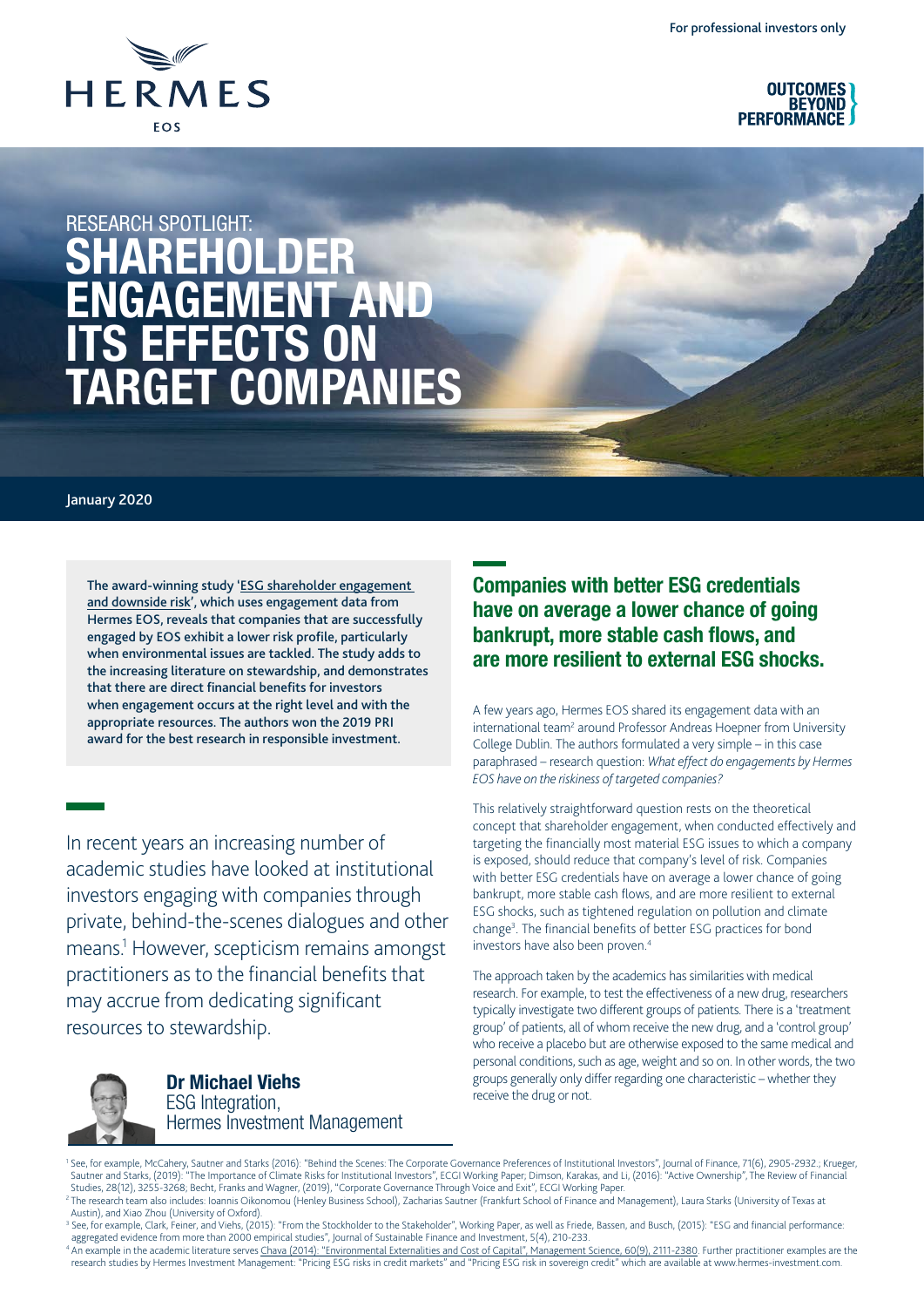



# RESEARCH SPOTLIGHT SHAREHOLDER ENGAGEMENT AND ITS EFFECTS ON TARGET COMPANIES

#### January 2020

The award-winning study '[ESG shareholder engagement](https://papers.ssrn.com/sol3/papers.cfm?abstract_id=2874252)  [and downside risk'](https://papers.ssrn.com/sol3/papers.cfm?abstract_id=2874252), which uses engagement data from Hermes EOS, reveals that companies that are successfully engaged by EOS exhibit a lower risk profile, particularly when environmental issues are tackled. The study adds to the increasing literature on stewardship, and demonstrates that there are direct financial benefits for investors when engagement occurs at the right level and with the appropriate resources. The authors won the 2019 PRI award for the best research in responsible investment.

In recent years an increasing number of academic studies have looked at institutional investors engaging with companies through private, behind-the-scenes dialogues and other means.1 However, scepticism remains amongst practitioners as to the financial benefits that may accrue from dedicating significant resources to stewardship.



Dr Michael Viehs ESG Integration, Hermes Investment Management

# Companies with better ESG credentials have on average a lower chance of going bankrupt, more stable cash flows, and are more resilient to external ESG shocks.

A few years ago, Hermes EOS shared its engagement data with an international team<sup>2</sup> around Professor Andreas Hoepner from University College Dublin. The authors formulated a very simple – in this case paraphrased – research question: *What effect do engagements by Hermes EOS have on the riskiness of targeted companies?*

This relatively straightforward question rests on the theoretical concept that shareholder engagement, when conducted effectively and targeting the financially most material ESG issues to which a company is exposed, should reduce that company's level of risk. Companies with better ESG credentials have on average a lower chance of going bankrupt, more stable cash flows, and are more resilient to external ESG shocks, such as tightened regulation on pollution and climate change<sup>3</sup>. The financial benefits of better ESG practices for bond investors have also been proven.4

The approach taken by the academics has similarities with medical research. For example, to test the effectiveness of a new drug, researchers typically investigate two different groups of patients. There is a 'treatment group' of patients, all of whom receive the new drug, and a 'control group' who receive a placebo but are otherwise exposed to the same medical and personal conditions, such as age, weight and so on. In other words, the two groups generally only differ regarding one characteristic – whether they receive the drug or not.

<sup>1</sup> See, for example, McCahery, Sautner and Starks (2016): "Behind the Scenes: The Corporate Governance Preferences of Institutional Investors", Journal of Finance, 71(6), 2905-2932.; Krueger, Sautner and Starks, (2019): "The Importance of Climate Risks for Institutional Investors", ECGI Working Paper; Dimson, Karakas, and Li, (2016): "Active Ownership", The Review of Financial Studies, 28(12), 3255-3268; Becht, Franks and Wagner, (2019), "Corporate Governance Through Voice and Exit", ECGI Working Paper.

aggregated evidence from more than 2000 empirical studies", Journal of Sustainable Finance and Investment, 5(4), 210-233.<br><sup>4</sup> An example in the academic literature serves <u>Chava (2014): "Environmental Externalities and Cos</u> research studies by Hermes Investment Management: "Pricing ESG risks in credit markets" and "Pricing ESG risk in sovereign credit" which are available at www.hermes-investment.com.

<sup>&</sup>lt;sup>2</sup> The research team also includes: Ioannis Oikonomou (Henley Business School), Zacharias Sautner (Frankfurt School of Finance and Management), Laura Starks (University of Texas at Austin), and Xiao Zhou (University of Oxford).

<sup>&</sup>lt;sup>3</sup> See, for example, Clark, Feiner, and Viehs, (2015): "From the Stockholder to the Stakeholder", Working Paper, as well as Friede, Bassen, and Busch, (2015): "ESG and financial performance: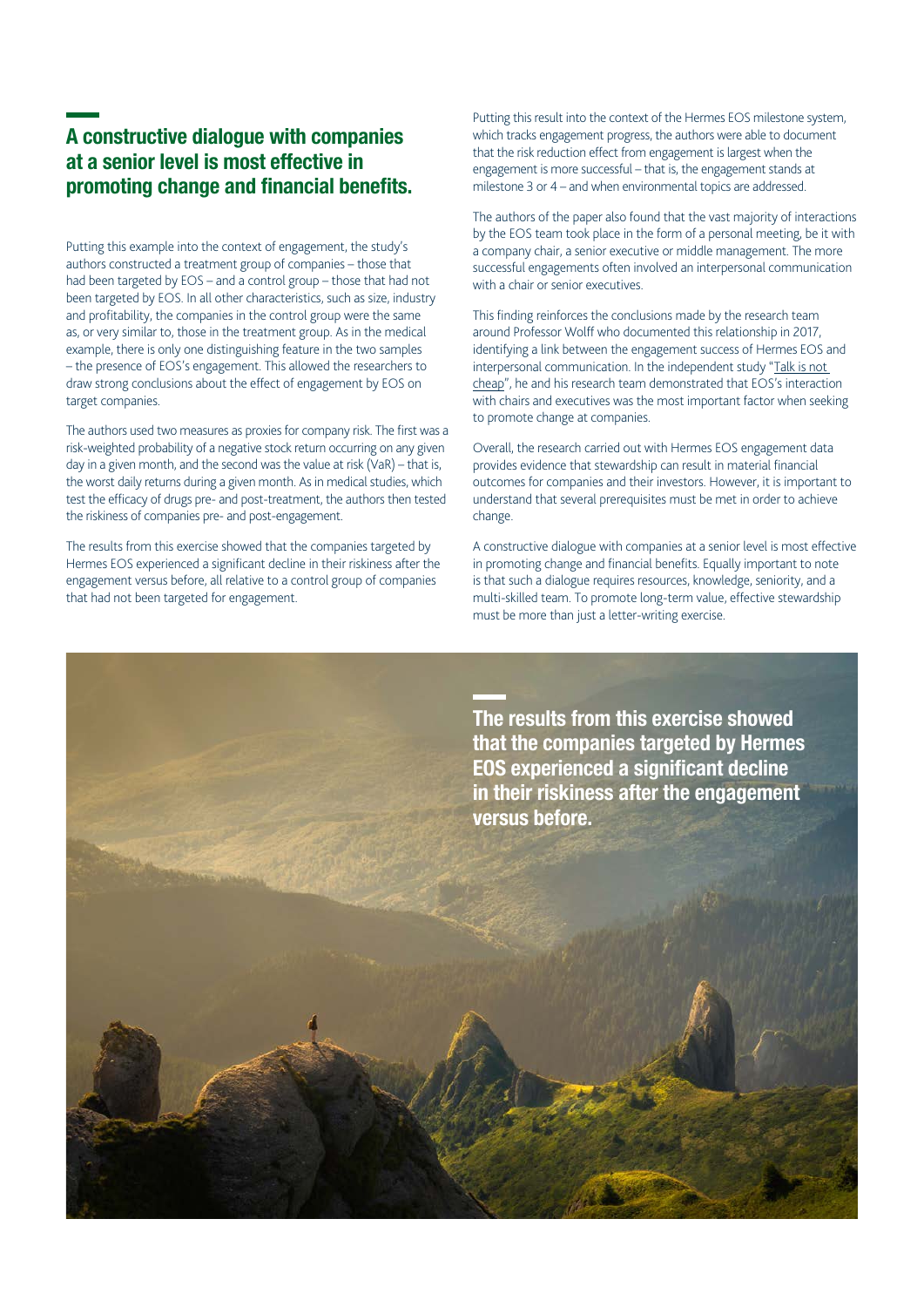# A constructive dialogue with companies at a senior level is most effective in promoting change and financial benefits.

Putting this example into the context of engagement, the study's authors constructed a treatment group of companies – those that had been targeted by EOS – and a control group – those that had not been targeted by EOS. In all other characteristics, such as size, industry and profitability, the companies in the control group were the same as, or very similar to, those in the treatment group. As in the medical example, there is only one distinguishing feature in the two samples – the presence of EOS's engagement. This allowed the researchers to draw strong conclusions about the effect of engagement by EOS on target companies.

The authors used two measures as proxies for company risk. The first was a risk-weighted probability of a negative stock return occurring on any given day in a given month, and the second was the value at risk (VaR) – that is, the worst daily returns during a given month. As in medical studies, which test the efficacy of drugs pre- and post-treatment, the authors then tested the riskiness of companies pre- and post-engagement.

The results from this exercise showed that the companies targeted by Hermes EOS experienced a significant decline in their riskiness after the engagement versus before, all relative to a control group of companies that had not been targeted for engagement.

Putting this result into the context of the Hermes EOS milestone system, which tracks engagement progress, the authors were able to document that the risk reduction effect from engagement is largest when the engagement is more successful – that is, the engagement stands at milestone 3 or 4 – and when environmental topics are addressed.

The authors of the paper also found that the vast majority of interactions by the EOS team took place in the form of a personal meeting, be it with a company chair, a senior executive or middle management. The more successful engagements often involved an interpersonal communication with a chair or senior executives.

This finding reinforces the conclusions made by the research team around Professor Wolff who documented this relationship in 2017, identifying a link between the engagement success of Hermes EOS and interpersonal communication. In the independent study "[Talk is not](https://www.hermes-investment.com/uki/press-centre/stewardship/new-research-shows-importance-board-level-contact-impactful-engagement/)  [cheap"](https://www.hermes-investment.com/uki/press-centre/stewardship/new-research-shows-importance-board-level-contact-impactful-engagement/), he and his research team demonstrated that EOS's interaction with chairs and executives was the most important factor when seeking to promote change at companies.

Overall, the research carried out with Hermes EOS engagement data provides evidence that stewardship can result in material financial outcomes for companies and their investors. However, it is important to understand that several prerequisites must be met in order to achieve change.

A constructive dialogue with companies at a senior level is most effective in promoting change and financial benefits. Equally important to note is that such a dialogue requires resources, knowledge, seniority, and a multi-skilled team. To promote long-term value, effective stewardship must be more than just a letter-writing exercise.